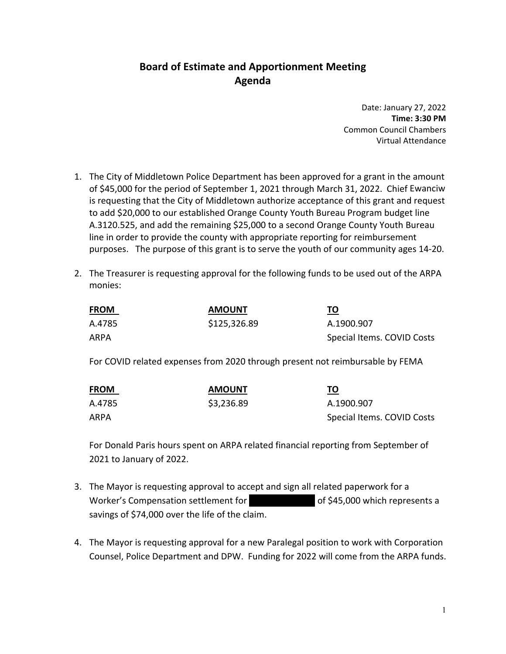## **Board of Estimate and Apportionment Meeting Agenda**

Date: January 27, 2022 **Time: 3:30 PM** Common Council Chambers Virtual Attendance

- 1. The City of Middletown Police Department has been approved for a grant in the amount of \$45,000 for the period of September 1, 2021 through March 31, 2022. Chief Ewanciw is requesting that the City of Middletown authorize acceptance of this grant and request to add \$20,000 to our established Orange County Youth Bureau Program budget line A.3120.525, and add the remaining \$25,000 to a second Orange County Youth Bureau line in order to provide the county with appropriate reporting for reimbursement purposes. The purpose of this grant is to serve the youth of our community ages 14‐20.
- 2. The Treasurer is requesting approval for the following funds to be used out of the ARPA monies:

| <b>FROM</b> | <b>AMOUNT</b> | TO                         |
|-------------|---------------|----------------------------|
| A.4785      | \$125,326.89  | A.1900.907                 |
| ARPA        |               | Special Items. COVID Costs |

For COVID related expenses from 2020 through present not reimbursable by FEMA

| <b>FROM</b> | <b>AMOUNT</b> | <u>TO</u>                  |
|-------------|---------------|----------------------------|
| A.4785      | \$3,236.89    | A.1900.907                 |
| ARPA        |               | Special Items. COVID Costs |

For Donald Paris hours spent on ARPA related financial reporting from September of 2021 to January of 2022.

- 3. The Mayor is requesting approval to accept and sign all related paperwork for a Worker's Compensation settlement for in the amount of \$45,000 which represents a savings of \$74,000 over the life of the claim.
- 4. The Mayor is requesting approval for a new Paralegal position to work with Corporation Counsel, Police Department and DPW. Funding for 2022 will come from the ARPA funds.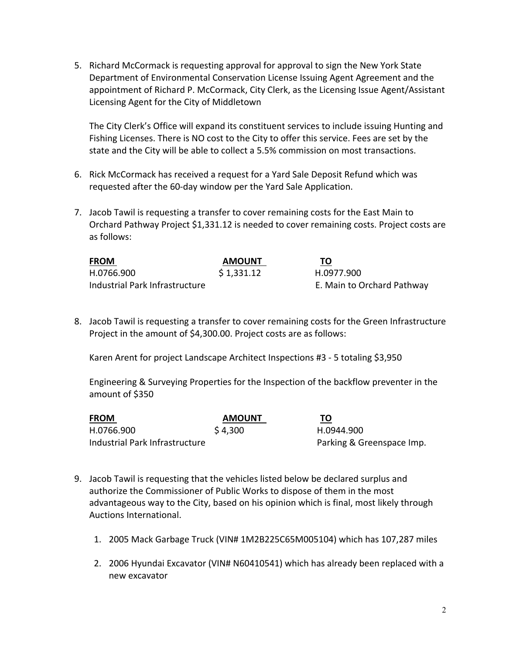5. Richard McCormack is requesting approval for approval to sign the New York State Department of Environmental Conservation License Issuing Agent Agreement and the appointment of Richard P. McCormack, City Clerk, as the Licensing Issue Agent/Assistant Licensing Agent for the City of Middletown

The City Clerk's Office will expand its constituent services to include issuing Hunting and Fishing Licenses. There is NO cost to the City to offer this service. Fees are set by the state and the City will be able to collect a 5.5% commission on most transactions.

- 6. Rick McCormack has received a request for a Yard Sale Deposit Refund which was requested after the 60‐day window per the Yard Sale Application.
- 7. Jacob Tawil is requesting a transfer to cover remaining costs for the East Main to Orchard Pathway Project \$1,331.12 is needed to cover remaining costs. Project costs are as follows:

| <b>FROM</b>                    | <b>AMOUNT</b> | ΤО                         |  |
|--------------------------------|---------------|----------------------------|--|
| H.0766.900                     | \$1,331.12    | H.0977.900                 |  |
| Industrial Park Infrastructure |               | E. Main to Orchard Pathway |  |

8. Jacob Tawil is requesting a transfer to cover remaining costs for the Green Infrastructure Project in the amount of \$4,300.00. Project costs are as follows:

Karen Arent for project Landscape Architect Inspections #3 ‐ 5 totaling \$3,950

Engineering & Surveying Properties for the Inspection of the backflow preventer in the amount of \$350

| <b>FROM</b>                    | <b>AMOUNT</b> | TO                        |
|--------------------------------|---------------|---------------------------|
| H.0766.900                     | \$4,300       | H.0944.900                |
| Industrial Park Infrastructure |               | Parking & Greenspace Imp. |

- 9. Jacob Tawil is requesting that the vehicles listed below be declared surplus and authorize the Commissioner of Public Works to dispose of them in the most advantageous way to the City, based on his opinion which is final, most likely through Auctions International.
	- 1. 2005 Mack Garbage Truck (VIN# 1M2B225C65M005104) which has 107,287 miles
	- 2. 2006 Hyundai Excavator (VIN# N60410541) which has already been replaced with a new excavator